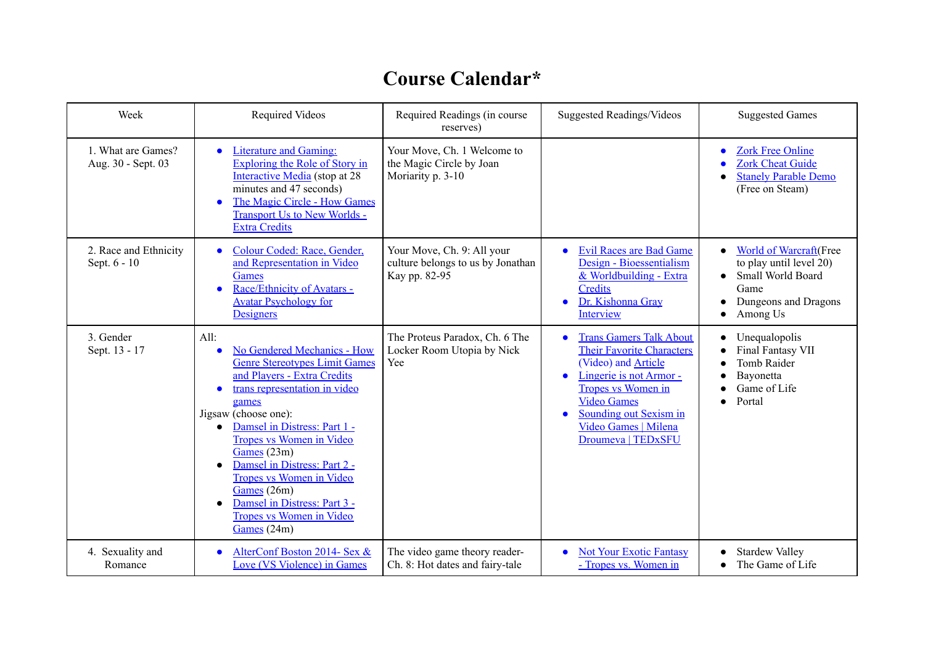## **Course Calendar\***

| Week                                     | <b>Required Videos</b>                                                                                                                                                                                                                                                                                                                                                                                                                                                           | Required Readings (in course<br>reserves)                                        | <b>Suggested Readings/Videos</b>                                                                                                                                                                                                        | <b>Suggested Games</b>                                                                                                                                      |
|------------------------------------------|----------------------------------------------------------------------------------------------------------------------------------------------------------------------------------------------------------------------------------------------------------------------------------------------------------------------------------------------------------------------------------------------------------------------------------------------------------------------------------|----------------------------------------------------------------------------------|-----------------------------------------------------------------------------------------------------------------------------------------------------------------------------------------------------------------------------------------|-------------------------------------------------------------------------------------------------------------------------------------------------------------|
| 1. What are Games?<br>Aug. 30 - Sept. 03 | <b>Literature and Gaming:</b><br>$\bullet$<br>Exploring the Role of Story in<br>Interactive Media (stop at 28<br>minutes and 47 seconds)<br>The Magic Circle - How Games<br>$\bullet$<br><b>Transport Us to New Worlds -</b><br><b>Extra Credits</b>                                                                                                                                                                                                                             | Your Move, Ch. 1 Welcome to<br>the Magic Circle by Joan<br>Moriarity p. 3-10     |                                                                                                                                                                                                                                         | <b>Zork Free Online</b><br><b>Zork Cheat Guide</b><br><b>Stanely Parable Demo</b><br>(Free on Steam)                                                        |
| 2. Race and Ethnicity<br>Sept. 6 - 10    | Colour Coded: Race, Gender,<br>$\bullet$<br>and Representation in Video<br><b>Games</b><br>Race/Ethnicity of Avatars -<br>$\bullet$<br><b>Avatar Psychology for</b><br>Designers                                                                                                                                                                                                                                                                                                 | Your Move, Ch. 9: All your<br>culture belongs to us by Jonathan<br>Kay pp. 82-95 | <b>Evil Races are Bad Game</b><br>Design - Bioessentialism<br>& Worldbuilding - Extra<br><b>Credits</b><br>Dr. Kishonna Gray<br>$\bullet$<br>Interview                                                                                  | <b>World of Warcraft</b> (Free<br>to play until level 20)<br><b>Small World Board</b><br>$\bullet$<br>Game<br>Dungeons and Dragons<br>Among Us<br>$\bullet$ |
| 3. Gender<br>Sept. 13 - 17               | All:<br>No Gendered Mechanics - How<br>$\bullet$<br><b>Genre Stereotypes Limit Games</b><br>and Players - Extra Credits<br>trans representation in video<br>$\bullet$<br>games<br>Jigsaw (choose one):<br>Damsel in Distress: Part 1 -<br>$\bullet$<br>Tropes vs Women in Video<br>Games (23m)<br>Damsel in Distress: Part 2 -<br>$\bullet$<br>Tropes vs Women in Video<br>Games (26m)<br>Damsel in Distress: Part 3 -<br>$\bullet$<br>Tropes vs Women in Video<br>Games $(24m)$ | The Proteus Paradox, Ch. 6 The<br>Locker Room Utopia by Nick<br>Yee              | <b>Trans Gamers Talk About</b><br><b>Their Favorite Characters</b><br>(Video) and Article<br>Lingerie is not Armor-<br>Tropes vs Women in<br><b>Video Games</b><br>Sounding out Sexism in<br>Video Games   Milena<br>Droumeva   TEDxSFU | Unequalopolis<br>Final Fantasy VII<br><b>Tomb Raider</b><br>Bayonetta<br>Game of Life<br>Portal                                                             |
| 4. Sexuality and<br>Romance              | AlterConf Boston 2014- Sex &<br>$\bullet$<br>Love (VS Violence) in Games                                                                                                                                                                                                                                                                                                                                                                                                         | The video game theory reader-<br>Ch. 8: Hot dates and fairy-tale                 | <b>Not Your Exotic Fantasy</b><br>- Tropes vs. Women in                                                                                                                                                                                 | <b>Stardew Valley</b><br>The Game of Life                                                                                                                   |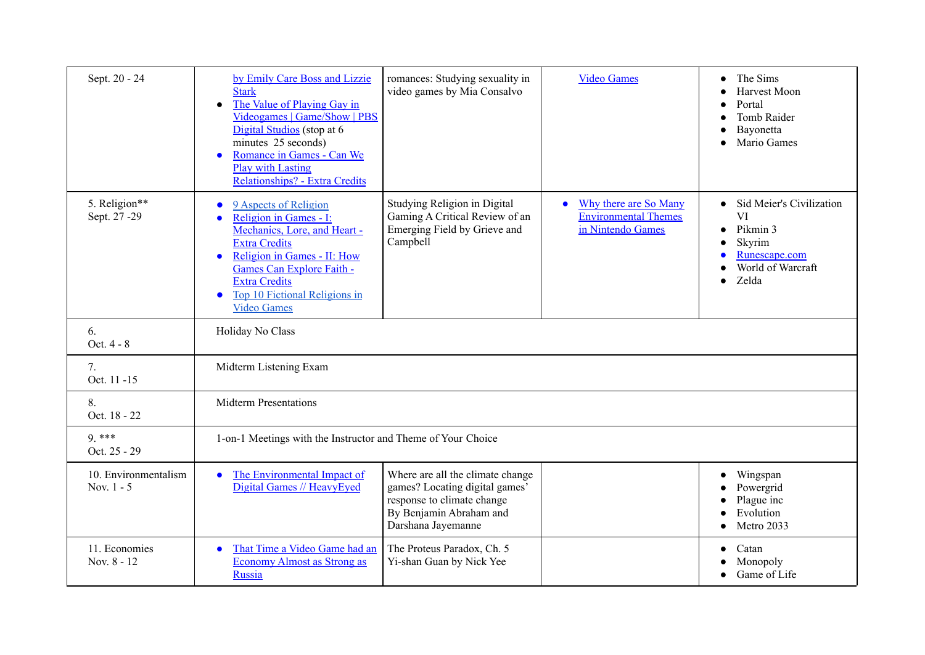| Sept. 20 - 24                        | by Emily Care Boss and Lizzie<br><b>Stark</b><br>The Value of Playing Gay in<br>$\bullet$<br>Videogames   Game/Show   PBS<br>Digital Studios (stop at 6<br>minutes 25 seconds)<br>Romance in Games - Can We<br>$\epsilon$<br><b>Play with Lasting</b><br>Relationships? - Extra Credits | romances: Studying sexuality in<br>video games by Mia Consalvo                                                                                    | <b>Video Games</b>                                                        | The Sims<br>Harvest Moon<br>Portal<br><b>Tomb Raider</b><br>Bayonetta<br>Mario Games                             |  |
|--------------------------------------|-----------------------------------------------------------------------------------------------------------------------------------------------------------------------------------------------------------------------------------------------------------------------------------------|---------------------------------------------------------------------------------------------------------------------------------------------------|---------------------------------------------------------------------------|------------------------------------------------------------------------------------------------------------------|--|
| 5. Religion**<br>Sept. 27 -29        | 9 Aspects of Religion<br>Religion in Games - I:<br>O<br>Mechanics, Lore, and Heart -<br><b>Extra Credits</b><br>Religion in Games - II: How<br>$\bullet$<br>Games Can Explore Faith -<br><b>Extra Credits</b><br>Top 10 Fictional Religions in<br>$\bullet$<br><b>Video Games</b>       | Studying Religion in Digital<br>Gaming A Critical Review of an<br>Emerging Field by Grieve and<br>Campbell                                        | Why there are So Many<br><b>Environmental Themes</b><br>in Nintendo Games | Sid Meier's Civilization<br>VI<br>Pikmin 3<br>Skyrim<br>Runescape.com<br>World of Warcraft<br>Zelda<br>$\bullet$ |  |
| 6.<br>Oct. 4 - 8                     | Holiday No Class                                                                                                                                                                                                                                                                        |                                                                                                                                                   |                                                                           |                                                                                                                  |  |
| 7.<br>Oct. 11 -15                    | Midterm Listening Exam                                                                                                                                                                                                                                                                  |                                                                                                                                                   |                                                                           |                                                                                                                  |  |
| 8.<br>Oct. 18 - 22                   | <b>Midterm Presentations</b>                                                                                                                                                                                                                                                            |                                                                                                                                                   |                                                                           |                                                                                                                  |  |
| $9***$<br>Oct. 25 - 29               | 1-on-1 Meetings with the Instructor and Theme of Your Choice                                                                                                                                                                                                                            |                                                                                                                                                   |                                                                           |                                                                                                                  |  |
| 10. Environmentalism<br>Nov. $1 - 5$ | The Environmental Impact of<br>$\bullet$<br>Digital Games // HeavyEyed                                                                                                                                                                                                                  | Where are all the climate change<br>games? Locating digital games'<br>response to climate change<br>By Benjamin Abraham and<br>Darshana Jayemanne |                                                                           | $\bullet$ Wingspan<br>Powergrid<br>Plague inc<br>Evolution<br>Metro 2033                                         |  |
| 11. Economies<br>Nov. 8 - 12         | That Time a Video Game had an<br><b>Economy Almost as Strong as</b><br><b>Russia</b>                                                                                                                                                                                                    | The Proteus Paradox, Ch. 5<br>Yi-shan Guan by Nick Yee                                                                                            |                                                                           | Catan<br>Monopoly<br>Game of Life                                                                                |  |